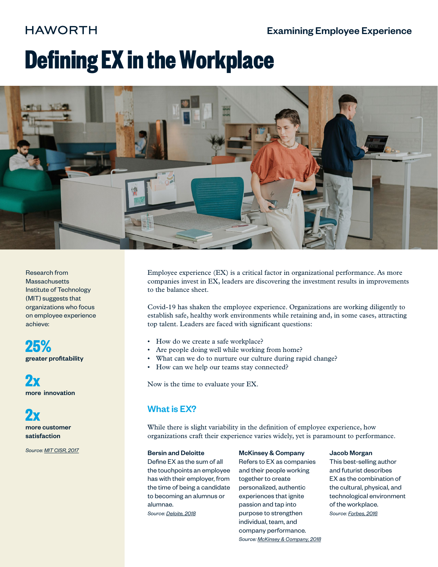## **HAWORTH**

# **Defining EX in the Workplace**



Research from **Massachusetts** Institute of Technology (MIT) suggests that organizations who focus on employee experience achieve:

**25%** greater profitability

**2x** more innovation

**2x** more customer satisfaction

*Source: [MIT CISR, 2017](https://www.avanade.com/-/media/asset/thinking/mit-research.pdf)*

Employee experience (EX) is a critical factor in organizational performance. As more companies invest in EX, leaders are discovering the investment results in improvements to the balance sheet.

Covid-19 has shaken the employee experience. Organizations are working diligently to establish safe, healthy work environments while retaining and, in some cases, attracting top talent. Leaders are faced with significant questions:

- How do we create a safe workplace?
- Are people doing well while working from home?
- What can we do to nurture our culture during rapid change?
- How can we help our teams stay connected?

Now is the time to evaluate your EX.

## What is EX?

While there is slight variability in the definition of employee experience, how organizations craft their experience varies widely, yet is paramount to performance.

#### Bersin and Deloitte

Define EX as the sum of all the touchpoints an employee has with their employer, from the time of being a candidate to becoming an alumnus or alumnae. *Source: Deloite, [2018](https://capitalhblog.deloitte.com/2018/06/25/deconstructing-employee-experience/)*

#### McKinsey & Company

Refers to EX as companies and their people working together to create personalized, authentic experiences that ignite passion and tap into purpose to strengthen individual, team, and company performance. *Source: McKinsey & Compan[y, 2](https://www.mckinsey.com/business-functions/organization/our-insights/the-organization-blog/employee-experience-essential-to-compete#)018*

#### Jacob Morgan

This best-selling author and futurist describes EX as the combination of the cultural, physical, and technological environment of the workplace. *Source: [Forbes, 2016](https://www.forbes.com/sites/jacobmorgan/2016/04/22/what-is-employee-experience/#3a8965e7386c)*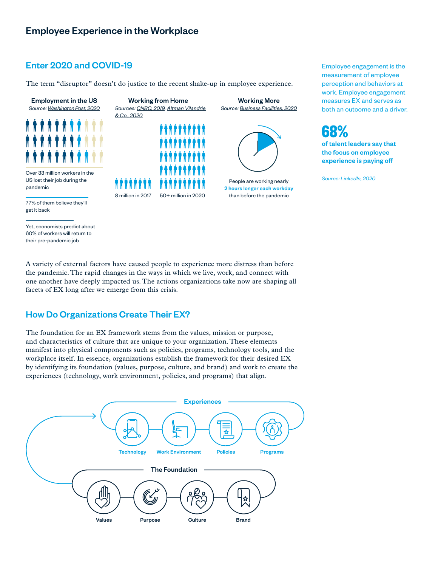## Enter 2020 and COVID-19

The term "disruptor" doesn't do justice to the recent shake-up in employee experience.



Yet, economists predict about 60% of workers will return to their pre-pandemic job



A variety of external factors have caused people to experience more distress than before the pandemic. The rapid changes in the ways in which we live, work, and connect with one another have deeply impacted us. The actions organizations take now are shaping all facets of EX long after we emerge from this crisis.

## How Do Organizations Create Their EX?

The foundation for an EX framework stems from the values, mission or purpose, and characteristics of culture that are unique to your organization. These elements manifest into physical components such as policies, programs, technology tools, and the workplace itself. In essence, organizations establish the framework for their desired EX by identifying its foundation (values, purpose, culture, and brand) and work to create the experiences (technology, work environment, policies, and programs) that align.



Employee engagement is the measurement of employee perception and behaviors at work. Employee engagement measures EX and serves as both an outcome and a driver.



*Source: [LinkedIn, 2020](https://business.linkedin.com/talent-solutions/recruiting-tips/global-talent-trends-2020)*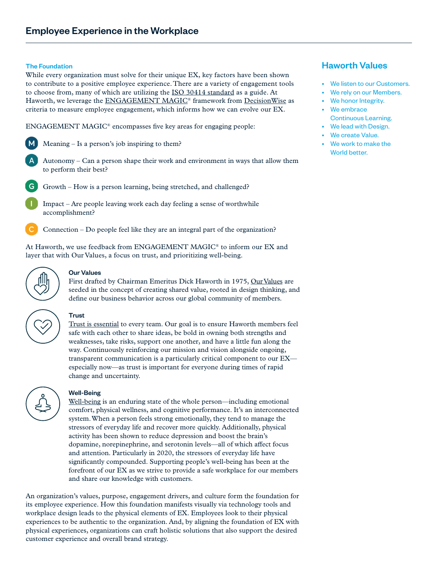#### The Foundation

While every organization must solve for their unique EX, key factors have been shown to contribute to a positive employee experience. There are a variety of engagement tools to choose from, many of which are utilizing the [ISO 30414 standard](https://www.iso.org/standard/69338.html) as a guide. At Haworth, we leverage the ENGAGEMENT MAGIC<sup>®</sup> framework from [DecisionWise](https://decision-wise.com/engagement-magic/) as criteria to measure employee engagement, which informs how we can evolve our EX.

ENGAGEMENT MAGIC® encompasses five key areas for engaging people:

 $\mathsf{M}$ Meaning – Is a person's job inspiring to them?



- G. Growth – How is a person learning, being stretched, and challenged?
	- Impact Are people leaving work each day feeling a sense of worthwhile accomplishment?

Connection – Do people feel like they are an integral part of the organization?

At Haworth, we use feedback from ENGAGEMENT MAGIC® to inform our EX and layer that with Our Values, a focus on trust, and prioritizing well-being.



#### Our Values

First drafted by Chairman Emeritus Dick Haworth in 1975, [Our Values](https://www.haworth.com/company-info/about-us) are seeded in the concept of creating shared value, rooted in design thinking, and define our business behavior across our global community of members.



#### **Trust**

[Trust is essential](https://www.ccl.org/wp-content/uploads/2017/05/why-trust-is-critical-team-success-research-report.pdf) to every team. Our goal is to ensure Haworth members feel safe with each other to share ideas, be bold in owning both strengths and weaknesses, take risks, support one another, and have a little fun along the way. Continuously reinforcing our mission and vision alongside ongoing, transparent communication is a particularly critical component to our EX especially now—as trust is important for everyone during times of rapid change and uncertainty.



#### Well-Being

[Well-being](https://www.haworth.com/na/en/expertise/research/all-people-topics/well-being.html) is an enduring state of the whole person—including emotional comfort, physical wellness, and cognitive performance. It's an interconnected system. When a person feels strong emotionally, they tend to manage the stressors of everyday life and recover more quickly. Additionally, physical activity has been shown to reduce depression and boost the brain's dopamine, norepinephrine, and serotonin levels—all of which affect focus and attention. Particularly in 2020, the stressors of everyday life have significantly compounded. Supporting people's well-being has been at the forefront of our EX as we strive to provide a safe workplace for our members and share our knowledge with customers.

An organization's values, purpose, engagement drivers, and culture form the foundation for its employee experience. How this foundation manifests visually via technology tools and workplace design leads to the physical elements of EX. Employees look to their physical experiences to be authentic to the organization. And, by aligning the foundation of EX with physical experiences, organizations can craft holistic solutions that also support the desired customer experience and overall brand strategy.

### Haworth Values

- We listen to our Customers.
- We rely on our Members.
- We honor Integrity.
- We embrace Continuous Learning.
- We lead with Design.
- We create Value.
- We work to make the World better.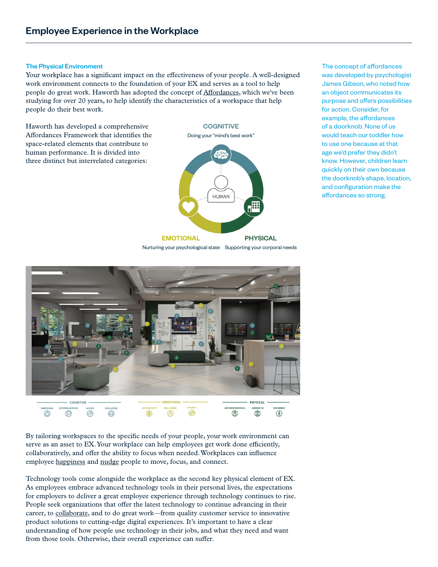#### The Physical Environment

Your workplace has a significant impact on the effectiveness of your people. A well-designed work environment connects to the foundation of your EX and serves as a tool to help people do great work. Haworth has adopted the concept of [Affordances,](https://www.haworth.com/na/en/expertise/research/all-people-topics/well-being/affordances.html) which we've been studying for over 20 years, to help identify the characteristics of a workspace that help people do their best work.

Haworth has developed a comprehensive Affordances Framework that identifies the space-related elements that contribute to human performance. It is divided into three distinct but interrelated categories:



The concept of affordances was developed by psychologist James Gibson, who noted how an object communicates its purpose and offers possibilities for action. Consider, for example, the affordances of a doorknob. None of us would teach our toddler how to use one because at that age we'd prefer they didn't know. However, children learn quickly on their own because the doorknob's shape, location, and configuration make the affordances so strong.



By tailoring workspaces to the specific needs of your people, your work environment can serve as an asset to EX. Your workplace can help employees get work done efficiently, collaboratively, and offer the ability to focus when needed. Workplaces can influence employee [happiness](https://blog.haworth.com/content/spark/en/articles/2020/9-behaviors-for-resilience-and-happiness.html) and [nudge](https://www.haworth.com/na/en/expertise/research/all-people-topics/well-being/nudge.html) people to move, focus, and connect.

Technology tools come alongside the workplace as the second key physical element of EX. As employees embrace advanced technology tools in their personal lives, the expectations for employers to deliver a great employee experience through technology continues to rise. People seek organizations that offer the latest technology to continue advancing in their career, to [collaborate,](https://www.bluescape.com/) and to do great work—from quality customer service to innovative product solutions to cutting-edge digital experiences. It's important to have a clear understanding of how people use technology in their jobs, and what they need and want from those tools. Otherwise, their overall experience can suffer.